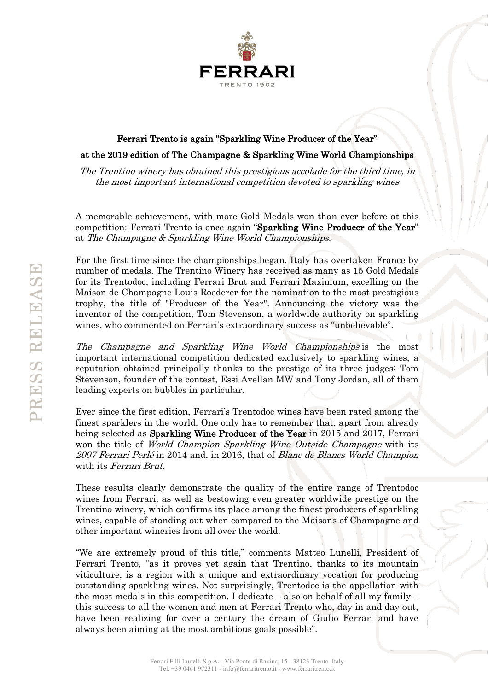

## Ferrari Trento is again "Sparkling Wine Producer of the Year" at the 2019 edition of The Champagne & Sparkling Wine World Championships

The Trentino winery has obtained this prestigious accolade for the third time, in the most important international competition devoted to sparkling wines

A memorable achievement, with more Gold Medals won than ever before at this competition: Ferrari Trento is once again "Sparkling Wine Producer of the Year" at The Champagne & Sparkling Wine World Championships.

For the first time since the championships began, Italy has overtaken France by number of medals. The Trentino Winery has received as many as 15 Gold Medals for its Trentodoc, including Ferrari Brut and Ferrari Maximum, excelling on the Maison de Champagne Louis Roederer for the nomination to the most prestigious trophy, the title of "Producer of the Year". Announcing the victory was the inventor of the competition, Tom Stevenson, a worldwide authority on sparkling wines, who commented on Ferrari's extraordinary success as "unbelievable".

The Champagne and Sparkling Wine World Championships is the most important international competition dedicated exclusively to sparkling wines, a reputation obtained principally thanks to the prestige of its three judges: Tom Stevenson, founder of the contest, Essi Avellan MW and Tony Jordan, all of them leading experts on bubbles in particular.

Ever since the first edition, Ferrari's Trentodoc wines have been rated among the finest sparklers in the world. One only has to remember that, apart from already being selected as Sparkling Wine Producer of the Year in 2015 and 2017, Ferrari won the title of *World Champion Sparkling Wine Outside Champagne* with its 2007 Ferrari Perlé in 2014 and, in 2016, that of Blanc de Blancs World Champion with its Ferrari Brut.

These results clearly demonstrate the quality of the entire range of Trentodoc wines from Ferrari, as well as bestowing even greater worldwide prestige on the Trentino winery, which confirms its place among the finest producers of sparkling wines, capable of standing out when compared to the Maisons of Champagne and other important wineries from all over the world.

"We are extremely proud of this title," comments Matteo Lunelli, President of Ferrari Trento, "as it proves yet again that Trentino, thanks to its mountain viticulture, is a region with a unique and extraordinary vocation for producing outstanding sparkling wines. Not surprisingly, Trentodoc is the appellation with the most medals in this competition. I dedicate – also on behalf of all my family – this success to all the women and men at Ferrari Trento who, day in and day out, have been realizing for over a century the dream of Giulio Ferrari and have always been aiming at the most ambitious goals possible".